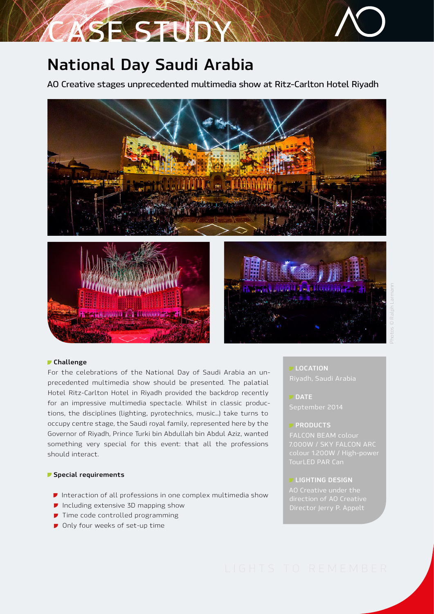# **National Day Saudi Arabia**

**ASE STUDY** 

**AO Creative stages unprecedented multimedia show at Ritz-Carlton Hotel Riyadh**



#### **Challenge**

For the celebrations of the National Day of Saudi Arabia an unprecedented multimedia show should be presented. The palatial Hotel Ritz-Carlton Hotel in Riyadh provided the backdrop recently for an impressive multimedia spectacle. Whilst in classic productions, the disciplines (lighting, pyrotechnics, music...) take turns to occupy centre stage, the Saudi royal family, represented here by the Governor of Riyadh, Prince Turki bin Abdullah bin Abdul Aziz, wanted something very special for this event: that all the professions should interact.

## **Special requirements**

- *I* Interaction of all professions in one complex multimedia show
- *I* Including extensive 3D mapping show
- **T** Time code controlled programming
- *P* Only four weeks of set-up time

## **LOCATION**

**DATE**  September 2014

### **PRODUCTS**

FALCON BEAM colour 7.000W / SKY FALCON ARC

#### **LIGHTING DESIGN**